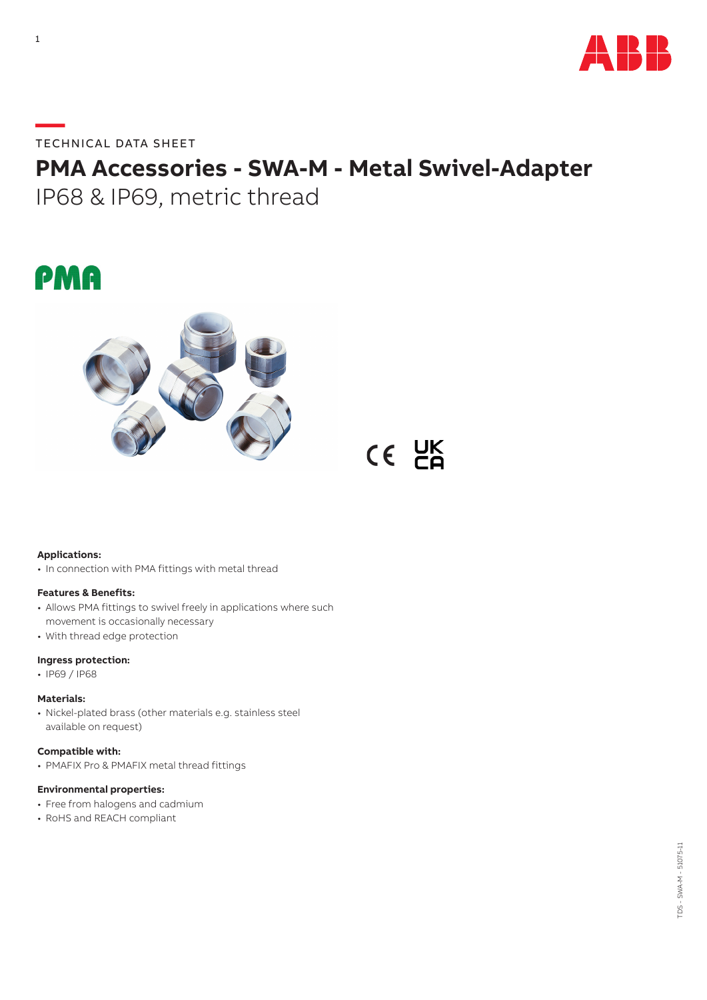

**—**TECHNICAL DATA SHEET

# **PMA Accessories - SWA-M - Metal Swivel-Adapter** IP68 & IP69, metric thread

# PMA



 $CE$   $E$ 

# **Applications:**

• In connection with PMA fittings with metal thread

# **Features & Benefits:**

- Allows PMA fittings to swivel freely in applications where such movement is occasionally necessary
- With thread edge protection

# **Ingress protection:**

• IP69 / IP68

#### **Materials:**

• Nickel-plated brass (other materials e.g. stainless steel available on request)

# **Compatible with:**

• PMAFIX Pro & PMAFIX metal thread fittings

# **Environmental properties:**

- Free from halogens and cadmium
- RoHS and REACH compliant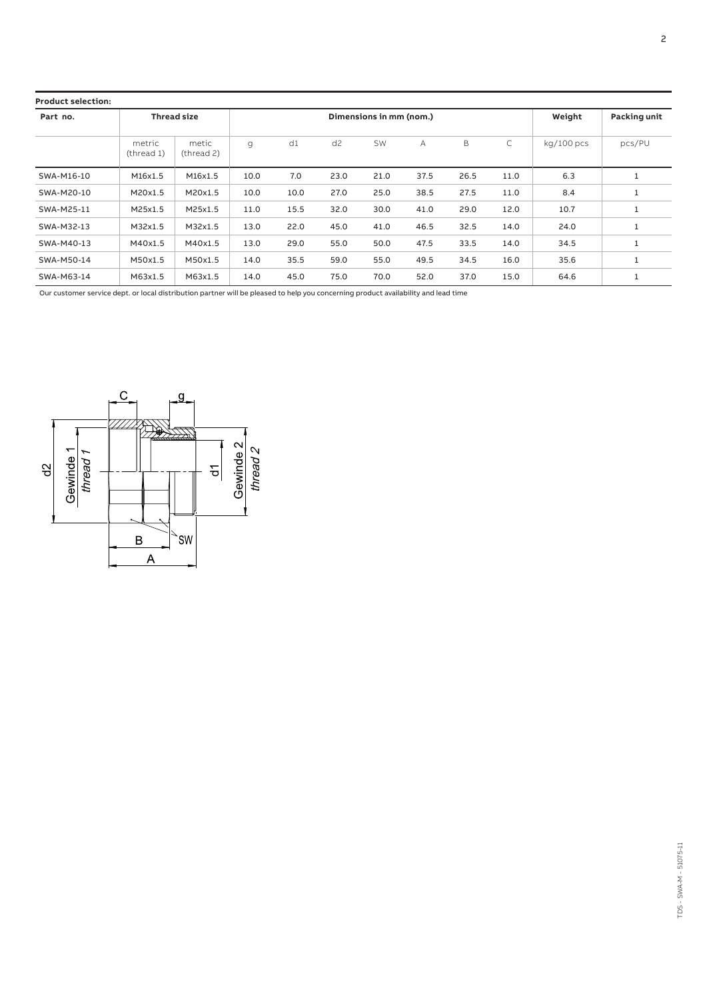| <b>Product selection:</b> |                      |                     |                         |      |                |           |      |      |      |              |              |
|---------------------------|----------------------|---------------------|-------------------------|------|----------------|-----------|------|------|------|--------------|--------------|
| Part no.                  | <b>Thread size</b>   |                     | Dimensions in mm (nom.) |      |                |           |      |      |      | Weight       | Packing unit |
|                           | metric<br>(thread 1) | metic<br>(thread 2) | g                       | d1   | d <sub>2</sub> | <b>SW</b> | A    | B    | C    | $kq/100$ pcs | pcs/PU       |
| SWA-M16-10                | M16x1.5              | M16x1.5             | 10.0                    | 7.0  | 23.0           | 21.0      | 37.5 | 26.5 | 11.0 | 6.3          |              |
| SWA-M20-10                | M20x1.5              | M20x1.5             | 10.0                    | 10.0 | 27.0           | 25.0      | 38.5 | 27.5 | 11.0 | 8.4          | 1            |
| SWA-M25-11                | M25x1.5              | M25x1.5             | 11.0                    | 15.5 | 32.0           | 30.0      | 41.0 | 29.0 | 12.0 | 10.7         |              |
| SWA-M32-13                | M32x1.5              | M32x1.5             | 13.0                    | 22.0 | 45.0           | 41.0      | 46.5 | 32.5 | 14.0 | 24.0         |              |
| SWA-M40-13                | M40x1.5              | M40x1.5             | 13.0                    | 29.0 | 55.0           | 50.0      | 47.5 | 33.5 | 14.0 | 34.5         | 1            |
| SWA-M50-14                | M50x1.5              | M50x1.5             | 14.0                    | 35.5 | 59.0           | 55.0      | 49.5 | 34.5 | 16.0 | 35.6         | 1            |
| SWA-M63-14                | M63x1.5              | M63x1.5             | 14.0                    | 45.0 | 75.0           | 70.0      | 52.0 | 37.0 | 15.0 | 64.6         |              |

Our customer service dept. or local distribution partner will be pleased to help you concerning product availability and lead time